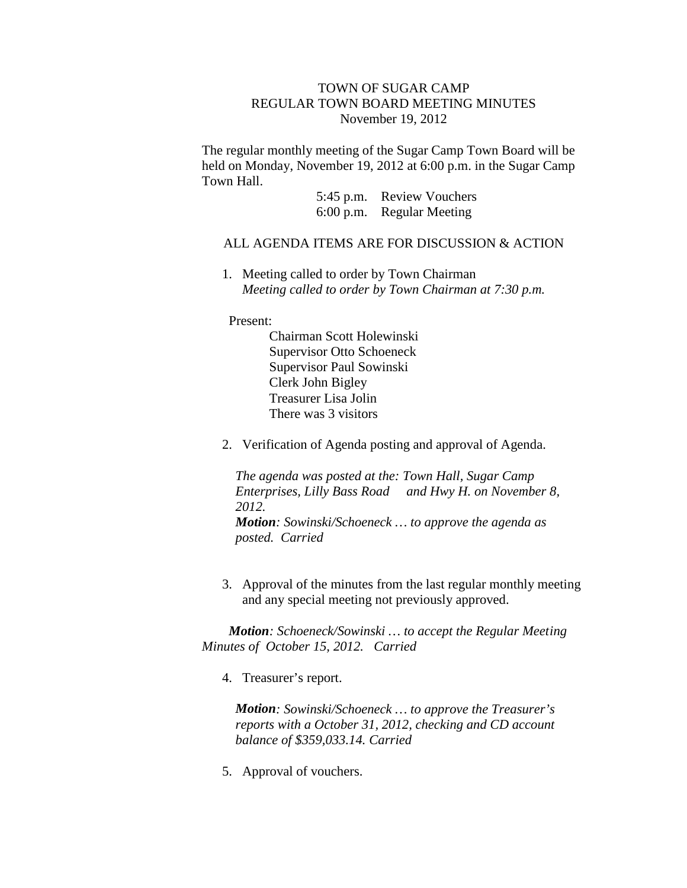## TOWN OF SUGAR CAMP REGULAR TOWN BOARD MEETING MINUTES November 19, 2012

The regular monthly meeting of the Sugar Camp Town Board will be held on Monday, November 19, 2012 at 6:00 p.m. in the Sugar Camp Town Hall.

> 5:45 p.m. Review Vouchers 6:00 p.m. Regular Meeting

## ALL AGENDA ITEMS ARE FOR DISCUSSION & ACTION

1. Meeting called to order by Town Chairman *Meeting called to order by Town Chairman at 7:30 p.m.*

Present:

Chairman Scott Holewinski Supervisor Otto Schoeneck Supervisor Paul Sowinski Clerk John Bigley Treasurer Lisa Jolin There was 3 visitors

2. Verification of Agenda posting and approval of Agenda*.*

*The agenda was posted at the: Town Hall, Sugar Camp Enterprises, Lilly Bass Road and Hwy H. on November 8, 2012. Motion: Sowinski/Schoeneck … to approve the agenda as posted. Carried*

3. Approval of the minutes from the last regular monthly meeting and any special meeting not previously approved.

*Motion: Schoeneck/Sowinski … to accept the Regular Meeting Minutes of October 15, 2012. Carried*

4. Treasurer's report.

*Motion: Sowinski/Schoeneck … to approve the Treasurer's reports with a October 31, 2012, checking and CD account balance of \$359,033.14. Carried*

5. Approval of vouchers.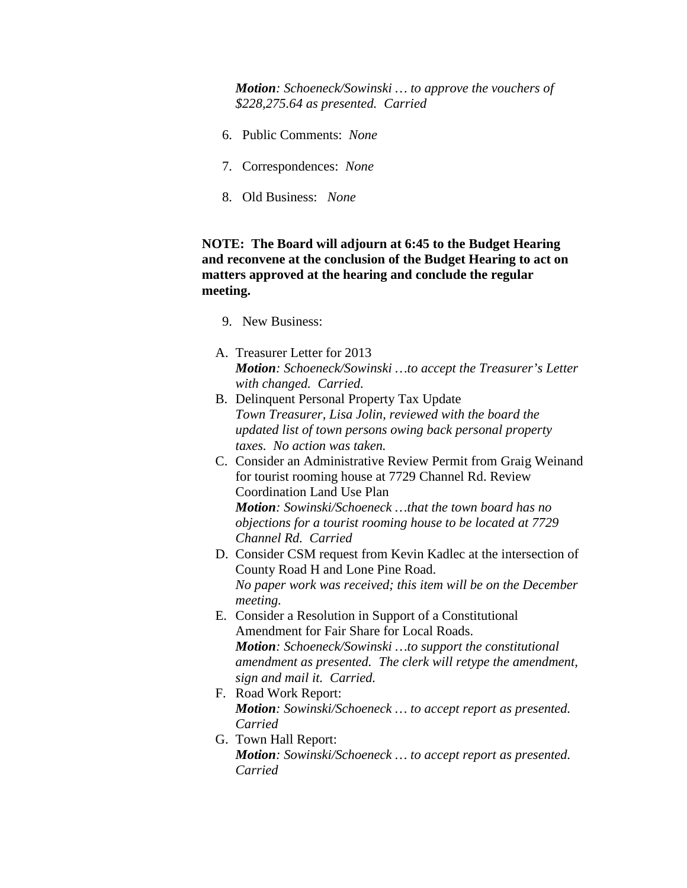*Motion: Schoeneck/Sowinski … to approve the vouchers of \$228,275.64 as presented. Carried*

- 6. Public Comments: *None*
- 7. Correspondences: *None*
- 8. Old Business: *None*

## **NOTE: The Board will adjourn at 6:45 to the Budget Hearing and reconvene at the conclusion of the Budget Hearing to act on matters approved at the hearing and conclude the regular meeting.**

- 9. New Business:
- A. Treasurer Letter for 2013 *Motion: Schoeneck/Sowinski …to accept the Treasurer's Letter with changed. Carried.*
- B. Delinquent Personal Property Tax Update *Town Treasurer, Lisa Jolin, reviewed with the board the updated list of town persons owing back personal property taxes. No action was taken.*
- C. Consider an Administrative Review Permit from Graig Weinand for tourist rooming house at 7729 Channel Rd. Review Coordination Land Use Plan *Motion: Sowinski/Schoeneck …that the town board has no objections for a tourist rooming house to be located at 7729 Channel Rd. Carried*
- D. Consider CSM request from Kevin Kadlec at the intersection of County Road H and Lone Pine Road. *No paper work was received; this item will be on the December meeting.*
- E. Consider a Resolution in Support of a Constitutional Amendment for Fair Share for Local Roads. *Motion: Schoeneck/Sowinski …to support the constitutional amendment as presented. The clerk will retype the amendment, sign and mail it. Carried.*
- F. Road Work Report: *Motion: Sowinski/Schoeneck … to accept report as presented. Carried*
- G. Town Hall Report: *Motion: Sowinski/Schoeneck … to accept report as presented. Carried*